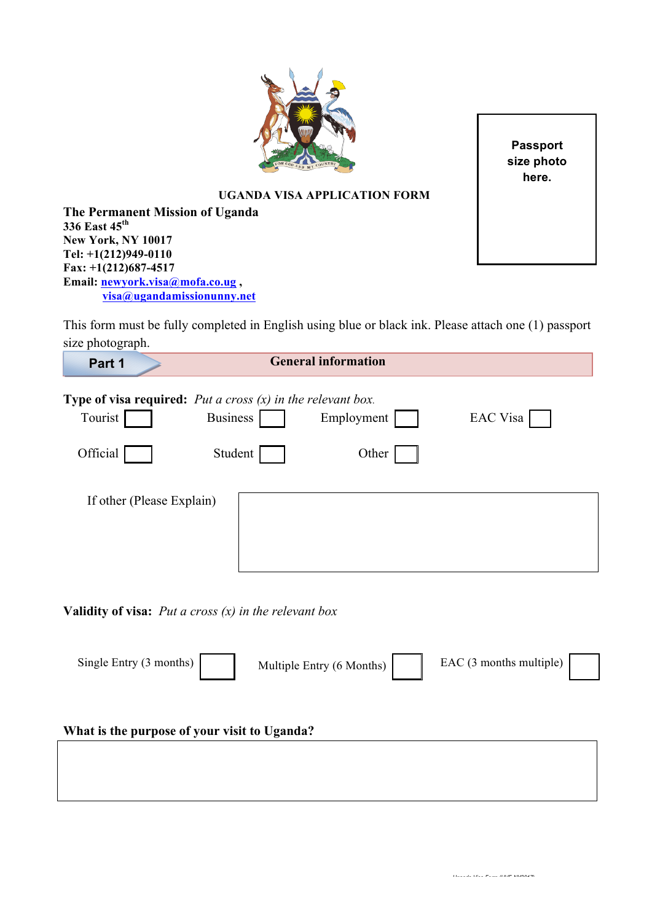

**Passport size photo here.**

## **UGANDA VISA APPLICATION FORM**

**The Permanent Mission of Uganda 336 East 45th New York, NY 10017 Tel: +1(212)949-0110 Fax: +1(212)687-4517 Email: newyork.visa@mofa.co.ug , visa@ugandamissionunny.net**

This form must be fully completed in English using blue or black ink. Please attach one (1) passport size photograph.

| Part 1                                                                                            |                 | <b>General information</b> |          |  |  |  |
|---------------------------------------------------------------------------------------------------|-----------------|----------------------------|----------|--|--|--|
| <b>Type of visa required:</b> <i>Put a cross <math>(x)</math> in the relevant box.</i><br>Tourist | <b>Business</b> | Employment                 | EAC Visa |  |  |  |
| Official                                                                                          | Student         | Other                      |          |  |  |  |
| If other (Please Explain)                                                                         |                 |                            |          |  |  |  |

**Validity of visa:** *Put a cross (x) in the relevant box*

Single Entry (3 months) Multiple Entry (6 Months) EAC (3 months multiple)

## **What is the purpose of your visit to Uganda?**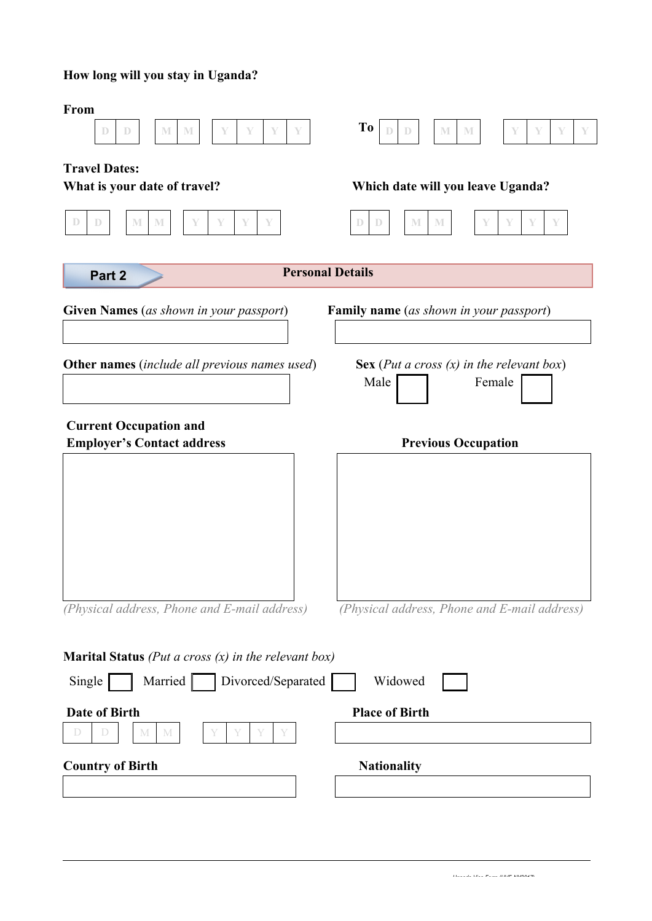## **How long will you stay in Uganda?**

| From<br>$\mathbb{D}$<br>$\mathbb{M}$<br>$\mathbb{M}$<br>$\mathbb{D}$<br>Y<br>Y<br>Y<br>Y | To<br>$\mathbb{M}$<br>M<br>Y<br>D<br>Y                           |
|------------------------------------------------------------------------------------------|------------------------------------------------------------------|
| <b>Travel Dates:</b><br>What is your date of travel?                                     | Which date will you leave Uganda?                                |
| $\mathbb{D}$<br>$\mathbb{D}$<br>$\mathbb M$<br>$\mathbb{M}$<br>Y<br>Y<br>Y               | M<br>$\mathbf{M}$<br>$\mathbb{D}$<br>$\mathbb{D}$<br>Y<br>Y<br>Y |
| Part 2                                                                                   | <b>Personal Details</b>                                          |
| <b>Given Names</b> (as shown in your passport)                                           | <b>Family name</b> (as shown in your passport)                   |
| <b>Other names</b> (include all previous names used)                                     | Sex (Put a cross $(x)$ in the relevant box)<br>Female<br>Male    |
| <b>Current Occupation and</b><br><b>Employer's Contact address</b>                       | <b>Previous Occupation</b>                                       |
|                                                                                          |                                                                  |
|                                                                                          |                                                                  |
|                                                                                          |                                                                  |
| (Physical address, Phone and E-mail address)                                             | (Physical address, Phone and E-mail address)                     |
| <b>Marital Status</b> ( <i>Put a cross <math>(x)</math> in the relevant box</i> )        |                                                                  |
| Single<br>Married   <br>Divorced/Separated                                               | Widowed                                                          |
| Date of Birth<br>D<br>M<br>M                                                             | <b>Place of Birth</b>                                            |
| <b>Country of Birth</b>                                                                  | <b>Nationality</b>                                               |
|                                                                                          |                                                                  |
|                                                                                          |                                                                  |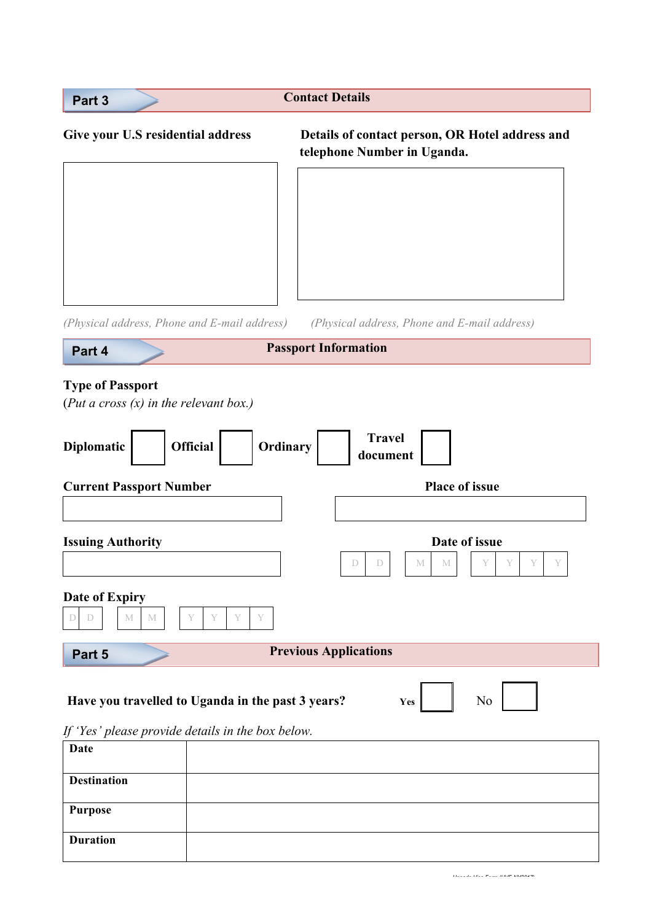| Part 3                                                                    | <b>Contact Details</b>                                                         |  |  |  |  |
|---------------------------------------------------------------------------|--------------------------------------------------------------------------------|--|--|--|--|
| Give your U.S residential address                                         | Details of contact person, OR Hotel address and<br>telephone Number in Uganda. |  |  |  |  |
|                                                                           |                                                                                |  |  |  |  |
|                                                                           |                                                                                |  |  |  |  |
|                                                                           |                                                                                |  |  |  |  |
|                                                                           |                                                                                |  |  |  |  |
| (Physical address, Phone and E-mail address)                              | (Physical address, Phone and E-mail address)                                   |  |  |  |  |
| Part 4                                                                    | <b>Passport Information</b>                                                    |  |  |  |  |
| (Put a cross $(x)$ in the relevant box.)<br><b>Official</b><br>Diplomatic | <b>Travel</b><br>Ordinary<br>document                                          |  |  |  |  |
| <b>Current Passport Number</b>                                            | <b>Place of issue</b>                                                          |  |  |  |  |
|                                                                           |                                                                                |  |  |  |  |
| <b>Issuing Authority</b>                                                  | Date of issue<br>D<br>Y<br>D<br>M<br>M                                         |  |  |  |  |
| <b>Date of Expiry</b><br>Y<br>Y<br>Y<br>$\mathbf M$<br>M<br>D<br>$\Box$   |                                                                                |  |  |  |  |
| Part 5                                                                    | <b>Previous Applications</b>                                                   |  |  |  |  |
| Have you travelled to Uganda in the past 3 years?                         | N <sub>0</sub><br>Yes                                                          |  |  |  |  |
| If 'Yes' please provide details in the box below.                         |                                                                                |  |  |  |  |
| <b>Date</b>                                                               |                                                                                |  |  |  |  |
| <b>Destination</b>                                                        |                                                                                |  |  |  |  |
|                                                                           |                                                                                |  |  |  |  |
| <b>Purpose</b>                                                            |                                                                                |  |  |  |  |

 *Uganda Visa Form (UVF-NY2017)*